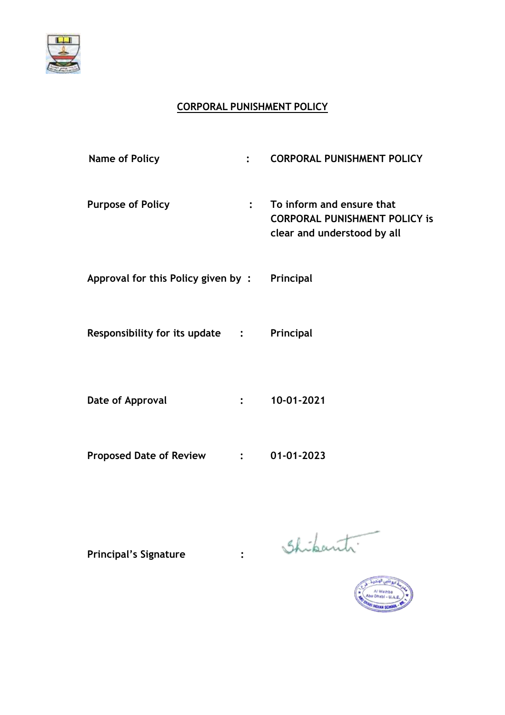

# **CORPORAL PUNISHMENT POLICY**

| <b>Name of Policy</b>              | $\cdot$        | <b>CORPORAL PUNISHMENT POLICY</b>                                                                |
|------------------------------------|----------------|--------------------------------------------------------------------------------------------------|
| <b>Purpose of Policy</b>           | $\ddot{\cdot}$ | To inform and ensure that<br><b>CORPORAL PUNISHMENT POLICY is</b><br>clear and understood by all |
| Approval for this Policy given by: |                | Principal                                                                                        |
| Responsibility for its update :    |                | Principal                                                                                        |
| Date of Approval                   | $\ddot{\cdot}$ | 10-01-2021                                                                                       |
| <b>Proposed Date of Review</b>     |                | 01-01-2023                                                                                       |

Principal's Signature : Shikanti